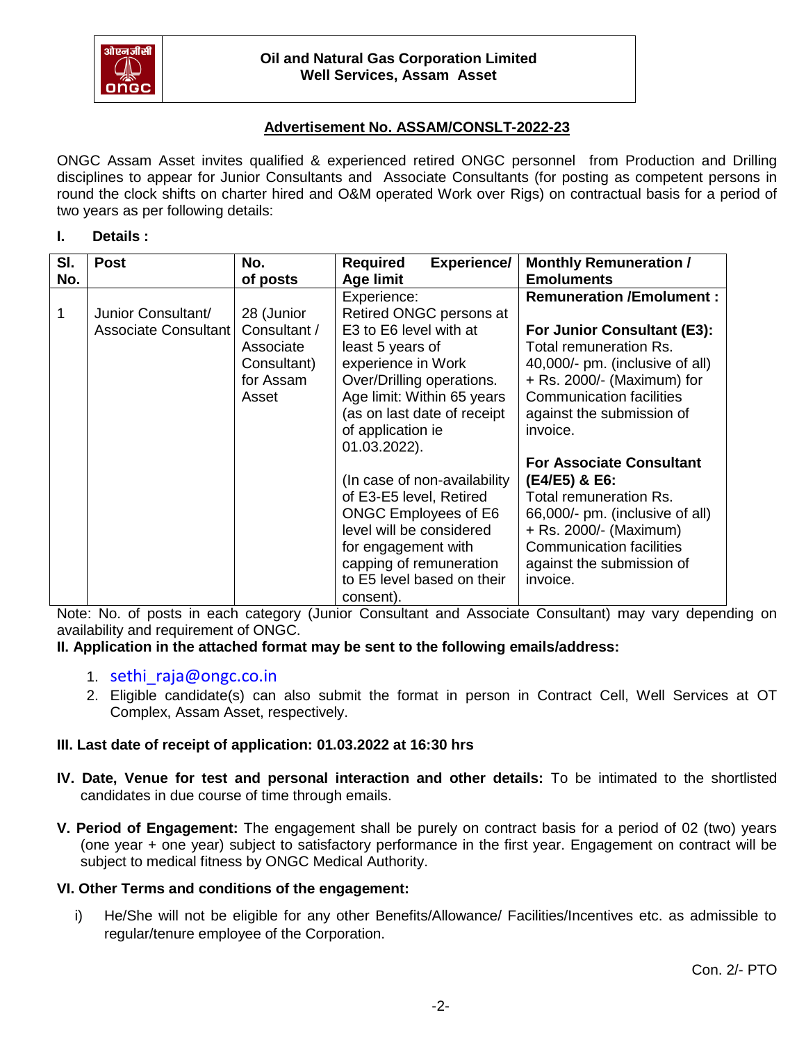

# **Advertisement No. ASSAM/CONSLT-2022-23**

ONGC Assam Asset invites qualified & experienced retired ONGC personnel from Production and Drilling disciplines to appear for Junior Consultants and Associate Consultants (for posting as competent persons in round the clock shifts on charter hired and O&M operated Work over Rigs) on contractual basis for a period of two years as per following details:

### **I. Details :**

| SI. | <b>Post</b>                                | No.                                                                          | <b>Experience/</b><br><b>Required</b>                                                                                                                                                                                                     | <b>Monthly Remuneration /</b>                                                                                                                                                                                                         |
|-----|--------------------------------------------|------------------------------------------------------------------------------|-------------------------------------------------------------------------------------------------------------------------------------------------------------------------------------------------------------------------------------------|---------------------------------------------------------------------------------------------------------------------------------------------------------------------------------------------------------------------------------------|
| No. |                                            | of posts                                                                     | <b>Age limit</b>                                                                                                                                                                                                                          | <b>Emoluments</b>                                                                                                                                                                                                                     |
| 1   | Junior Consultant/<br>Associate Consultant | 28 (Junior<br>Consultant /<br>Associate<br>Consultant)<br>for Assam<br>Asset | Experience:<br>Retired ONGC persons at<br>E3 to E6 level with at<br>least 5 years of<br>experience in Work<br>Over/Drilling operations.<br>Age limit: Within 65 years<br>(as on last date of receipt<br>of application ie<br>01.03.2022). | <b>Remuneration /Emolument:</b><br>For Junior Consultant (E3):<br>Total remuneration Rs.<br>40,000/- pm. (inclusive of all)<br>+ Rs. 2000/- (Maximum) for<br><b>Communication facilities</b><br>against the submission of<br>invoice. |
|     |                                            |                                                                              | (In case of non-availability)<br>of E3-E5 level, Retired<br><b>ONGC Employees of E6</b><br>level will be considered<br>for engagement with<br>capping of remuneration<br>to E5 level based on their<br>consent).                          | <b>For Associate Consultant</b><br>(E4/E5) & E6:<br>Total remuneration Rs.<br>66,000/- pm. (inclusive of all)<br>+ Rs. 2000/- (Maximum)<br><b>Communication facilities</b><br>against the submission of<br>invoice.                   |

Note: No. of posts in each category (Junior Consultant and Associate Consultant) may vary depending on availability and requirement of ONGC.

**II. Application in the attached format may be sent to the following emails/address:**

- 1. sethi raja@ongc.co.in
- 2. Eligible candidate(s) can also submit the format in person in Contract Cell, Well Services at OT Complex, Assam Asset, respectively.

## **III. Last date of receipt of application: 01.03.2022 at 16:30 hrs**

- **IV. Date, Venue for test and personal interaction and other details:** To be intimated to the shortlisted candidates in due course of time through emails.
- **V. Period of Engagement:** The engagement shall be purely on contract basis for a period of 02 (two) years (one year + one year) subject to satisfactory performance in the first year. Engagement on contract will be subject to medical fitness by ONGC Medical Authority.

## **VI. Other Terms and conditions of the engagement:**

i) He/She will not be eligible for any other Benefits/Allowance/ Facilities/Incentives etc. as admissible to regular/tenure employee of the Corporation.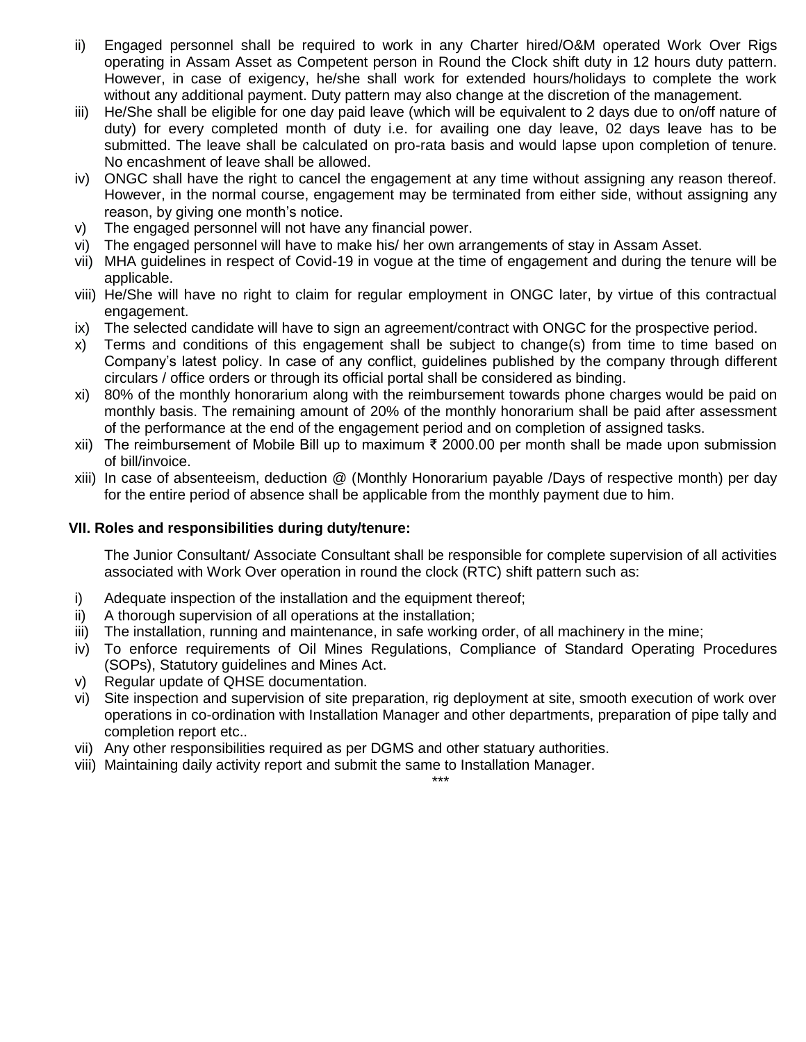- ii) Engaged personnel shall be required to work in any Charter hired/O&M operated Work Over Rigs operating in Assam Asset as Competent person in Round the Clock shift duty in 12 hours duty pattern. However, in case of exigency, he/she shall work for extended hours/holidays to complete the work without any additional payment. Duty pattern may also change at the discretion of the management.
- iii) He/She shall be eligible for one day paid leave (which will be equivalent to 2 days due to on/off nature of duty) for every completed month of duty i.e. for availing one day leave, 02 days leave has to be submitted. The leave shall be calculated on pro-rata basis and would lapse upon completion of tenure. No encashment of leave shall be allowed.
- iv) ONGC shall have the right to cancel the engagement at any time without assigning any reason thereof. However, in the normal course, engagement may be terminated from either side, without assigning any reason, by giving one month's notice.
- v) The engaged personnel will not have any financial power.
- vi) The engaged personnel will have to make his/ her own arrangements of stay in Assam Asset.
- vii) MHA guidelines in respect of Covid-19 in vogue at the time of engagement and during the tenure will be applicable.
- viii) He/She will have no right to claim for regular employment in ONGC later, by virtue of this contractual engagement.
- ix) The selected candidate will have to sign an agreement/contract with ONGC for the prospective period.
- x) Terms and conditions of this engagement shall be subject to change(s) from time to time based on Company's latest policy. In case of any conflict, guidelines published by the company through different circulars / office orders or through its official portal shall be considered as binding.
- xi) 80% of the monthly honorarium along with the reimbursement towards phone charges would be paid on monthly basis. The remaining amount of 20% of the monthly honorarium shall be paid after assessment of the performance at the end of the engagement period and on completion of assigned tasks.
- xii) The reimbursement of Mobile Bill up to maximum ₹ 2000.00 per month shall be made upon submission of bill/invoice.
- xiii) In case of absenteeism, deduction @ (Monthly Honorarium payable /Days of respective month) per day for the entire period of absence shall be applicable from the monthly payment due to him.

## **VII. Roles and responsibilities during duty/tenure:**

The Junior Consultant/ Associate Consultant shall be responsible for complete supervision of all activities associated with Work Over operation in round the clock (RTC) shift pattern such as:

- i) Adequate inspection of the installation and the equipment thereof;
- ii) A thorough supervision of all operations at the installation;
- iii) The installation, running and maintenance, in safe working order, of all machinery in the mine;
- iv) To enforce requirements of Oil Mines Regulations, Compliance of Standard Operating Procedures (SOPs), Statutory guidelines and Mines Act.
- v) Regular update of QHSE documentation.
- vi) Site inspection and supervision of site preparation, rig deployment at site, smooth execution of work over operations in co-ordination with Installation Manager and other departments, preparation of pipe tally and completion report etc..
- vii) Any other responsibilities required as per DGMS and other statuary authorities.
- viii) Maintaining daily activity report and submit the same to Installation Manager. \*\*\*